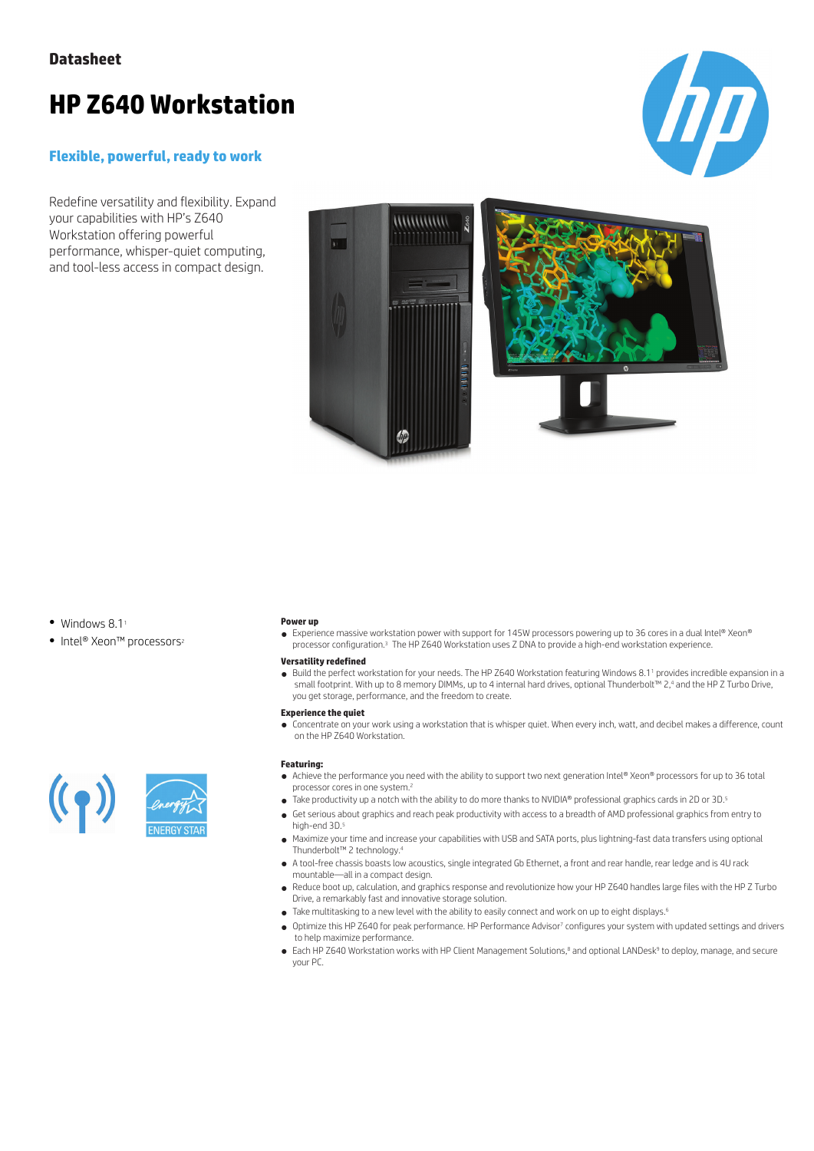# **HP Z640 Workstation**

### **Flexible, powerful, ready to work**

Redefine versatility and flexibility. Expand your capabilities with HP's Z640 Workstation offering powerful performance, whisper-quiet computing, and tool-less access in compact design.





- $\bullet$  Windows 8.1<sup>1</sup>
- Intel® Xeon™ processors<sup>2</sup>

### **Power up**

● Experience massive workstation power with support for 145W processors powering up to 36 cores in a dual Intel® Xeon® processor configuration.<sup>3</sup> The HP Z640 Workstation uses Z DNA to provide a high-end workstation experience.

#### **Versatility redefined**

● Build the perfect workstation for your needs. The HP Z640 Workstation featuring Windows 8.1<sup>1</sup> provides incredible expansion in a small footprint. With up to 8 memory DIMMs, up to 4 internal hard drives, optional Thunderbolt™ 2,<sup>4</sup> and the HP Z Turbo Drive, you get storage, performance, and the freedom to create.

#### **Experience the quiet**

● Concentrate on your work using a workstation that is whisper quiet. When every inch, watt, and decibel makes a difference, count on the HP Z640 Workstation.

#### **Featuring:**

- Achieve the performance you need with the ability to support two next generation Intel® Xeon® processors for up to 36 total processor cores in one system.<sup>2</sup>
- Take productivity up a notch with the ability to do more thanks to NVIDIA® professional graphics cards in 2D or 3D.<sup>5</sup>
- Get serious about graphics and reach peak productivity with access to a breadth of AMD professional graphics from entry to high-end 3D.<sup>5</sup>
- Maximize your time and increase your capabilities with USB and SATA ports, plus lightning-fast data transfers using optional Thunderbolt™ 2 technology.<sup>4</sup>
- A tool-free chassis boasts low acoustics, single integrated Gb Ethernet, a front and rear handle, rear ledge and is 4U rack mountable—all in a compact design.
- Reduce boot up, calculation, and graphics response and revolutionize how your HP Z640 handles large files with the HP Z Turbo Drive, a remarkably fast and innovative storage solution.
- Take multitasking to a new level with the ability to easily connect and work on up to eight displays.<sup>6</sup>
- Optimize this HP Z640 for peak performance. HP Performance Advisor<sup>7</sup> configures your system with updated settings and drivers to help maximize performance.
- Each HP Z640 Workstation works with HP Client Management Solutions,<sup>8</sup> and optional LANDesk<sup>9</sup> to deploy, manage, and secure your PC.



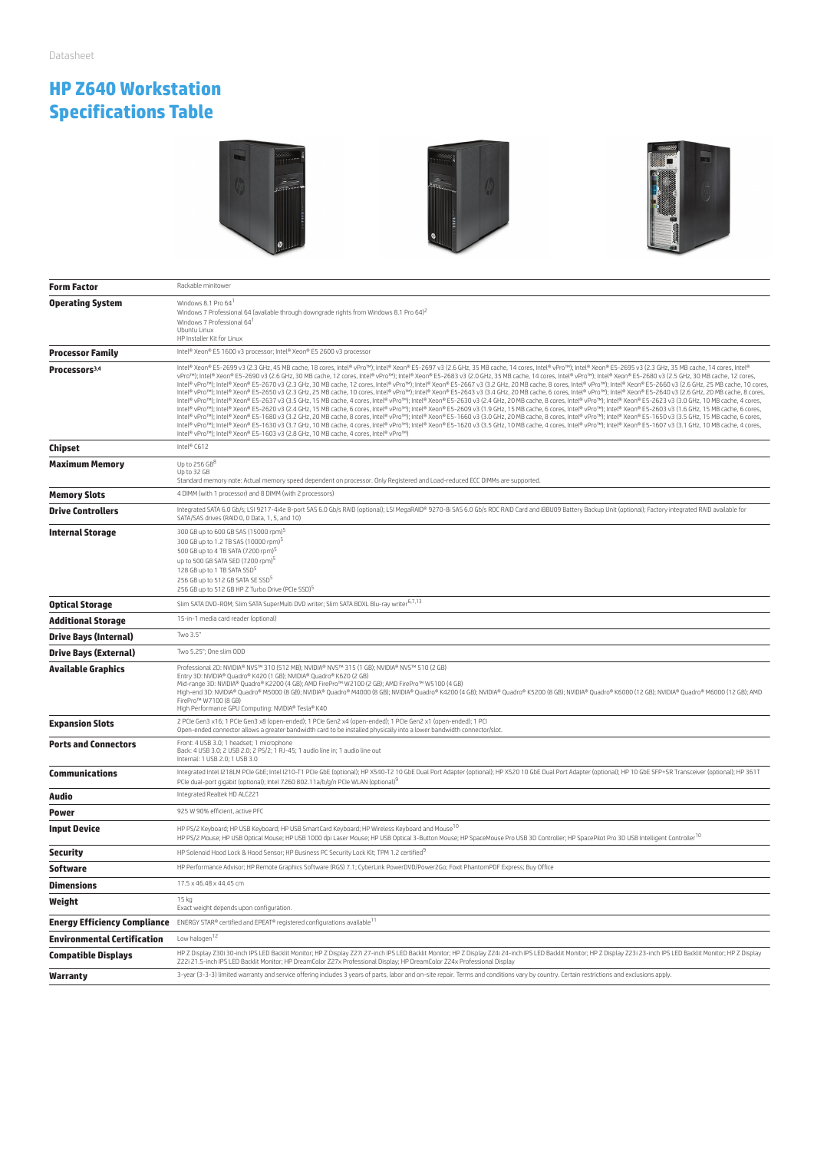# **HP Z640 Workstation Specifications Table**







| <b>Form Factor</b>                  | Rackable minitower                                                                                                                                                                                                                                                                                                                                                                                                                                                                                                                                                                                                                                                                                                                                                                                                                                                                                                                                                                                                                                                                                                                                                                                                                                                                                                                                                                                                                                                                                                                                                                                                                                                                                                                                                                                                                                                             |  |
|-------------------------------------|--------------------------------------------------------------------------------------------------------------------------------------------------------------------------------------------------------------------------------------------------------------------------------------------------------------------------------------------------------------------------------------------------------------------------------------------------------------------------------------------------------------------------------------------------------------------------------------------------------------------------------------------------------------------------------------------------------------------------------------------------------------------------------------------------------------------------------------------------------------------------------------------------------------------------------------------------------------------------------------------------------------------------------------------------------------------------------------------------------------------------------------------------------------------------------------------------------------------------------------------------------------------------------------------------------------------------------------------------------------------------------------------------------------------------------------------------------------------------------------------------------------------------------------------------------------------------------------------------------------------------------------------------------------------------------------------------------------------------------------------------------------------------------------------------------------------------------------------------------------------------------|--|
| <b>Operating System</b>             | Windows 8.1 Pro 64 <sup>1</sup><br>Windows 7 Professional 64 (available through downgrade rights from Windows 8.1 Pro 64) <sup>2</sup><br>Windows 7 Professional 64<br>Ubuntu Linux<br>HP Installer Kit for Linux                                                                                                                                                                                                                                                                                                                                                                                                                                                                                                                                                                                                                                                                                                                                                                                                                                                                                                                                                                                                                                                                                                                                                                                                                                                                                                                                                                                                                                                                                                                                                                                                                                                              |  |
| <b>Processor Family</b>             | Intel® Xeon® E5 1600 v3 processor; Intel® Xeon® E5 2600 v3 processor                                                                                                                                                                                                                                                                                                                                                                                                                                                                                                                                                                                                                                                                                                                                                                                                                                                                                                                                                                                                                                                                                                                                                                                                                                                                                                                                                                                                                                                                                                                                                                                                                                                                                                                                                                                                           |  |
| Processors <sup>3,4</sup>           | Intel® Xeon® E5-2699 v3 (2.3 GHz, 45 MB cache, 18 cores, Intel® vPro™); Intel® Xeon® E5-2697 v3 (2.6 GHz, 35 MB cache, 14 cores, Intel® VPro™); Intel® Xeon® E5-2695 v3 (2.3 GHz, 35 MB cache, 14 cores, Intel®<br>vPro™); Intel® Xeon® E5-2690 v3 (2.6 GHz, 30 MB cache, 12 cores, Intel® vPro™); Intel® Xeon® E5-2683 v3 (2.0 GHz, 35 MB cache, 14 cores, Intel® vPro™); Intel® Xeon® E5-2680 v3 (2.5 GHz, 30 MB cache, 12 cores,<br>Intel® vPro™); Intel® Xeon® E5-2670 v3 (2.3 GHz, 30 MB cache, 12 cores, Intel® vPro™); Intel® Xeon® E5-2667 v3 (3.2 GHz, 20 MB cache, 8 cores, Intel® vPro™); Intel® Xeon® E5-2660 v3 (2.6 GHz, 25 MB cache, 10 cores,<br>Intel® vPro™); Intel® Xeon® E5-2650 v3 (2.3 GHz, 25 MB cache, 10 cores, Intel® vPro™); Intel® Xeon® E5-2643 v3 (3.4 GHz, 20 MB cache, 6 cores, Intel® VPro™); Intel® Xeon® E5-2640 v3 (2.6 GHz, 20 MB cache, 8 cores,<br>Intel® vPro™); Intel® Xeon® E5-2637 v3 (3.5 GHz, 15 MB cache, 4 cores, Intel® vPro™); Intel® Xeon® E5-2630 v3 (2.4 GHz, 20 MB cache, 8 cores, Intel® vPro™); Intel® Xeon® E5-2623 v3 (3.0 GHz, 10 MB cache, 4 cores,<br>Intel® vPro™); Intel® Xeon® E5-2620 v3 (2.4 GHz, 15 MB cache, 6 cores, Intel® vPro™); Intel® Xeon® E5-2609 v3 (1.9 GHz, 15 MB cache, 6 cores, Intel® VPro™); Intel® Xeon® E5-2603 v3 (1.6 GHz, 15 MB cache, 6 cores,<br>Intel® vPro™); Intel® Xeon® E5-1680 v3 (3.2 GHz, 20 MB cache, 8 cores, Intel® vPro™); Intel® Xeon® E5-1660 v3 (3.0 GHz, 20 MB cache, 8 cores, Intel® VPro™); Intel® Xeon® E5-1650 v3 (3.5 GHz, 15 MB cache, 6 cores,<br>Intel® vPro™); Intel® Xeon® E5-1630 v3 (3.7 GHz, 10 MB cache, 4 cores, Intel® vPro™); Intel® Xeon® E5-1620 v3 (3.5 GHz, 10 MB cache, 4 cores, Intel® VPro™); Intel® Xeon® E5-1607 v3 (3.1 GHz, 10 MB cache, 4 cores,<br>Intel® vPro™); Intel® Xeon® E5-1603 v3 (2.8 GHz, 10 MB cache, 4 cores, Intel® vPro™) |  |
| Chipset                             | Intel® C612                                                                                                                                                                                                                                                                                                                                                                                                                                                                                                                                                                                                                                                                                                                                                                                                                                                                                                                                                                                                                                                                                                                                                                                                                                                                                                                                                                                                                                                                                                                                                                                                                                                                                                                                                                                                                                                                    |  |
| <b>Maximum Memory</b>               | Up to $256$ $GB^8$<br>Up to 32 GB<br>Standard memory note: Actual memory speed dependent on processor. Only Registered and Load-reduced ECC DIMMs are supported.                                                                                                                                                                                                                                                                                                                                                                                                                                                                                                                                                                                                                                                                                                                                                                                                                                                                                                                                                                                                                                                                                                                                                                                                                                                                                                                                                                                                                                                                                                                                                                                                                                                                                                               |  |
| <b>Memory Slots</b>                 | 4 DIMM (with 1 processor) and 8 DIMM (with 2 processors)                                                                                                                                                                                                                                                                                                                                                                                                                                                                                                                                                                                                                                                                                                                                                                                                                                                                                                                                                                                                                                                                                                                                                                                                                                                                                                                                                                                                                                                                                                                                                                                                                                                                                                                                                                                                                       |  |
| <b>Drive Controllers</b>            | Integrated SATA 6.0 Gb/s; LSI 9217-4i4e 8-port SAS 6.0 Gb/s RAID (optional); LSI MegaRAID® 9270-8i SAS 6.0 Gb/s ROC RAID Card and iBBU09 Battery Backup Unit (optional); Factory integrated RAID available for<br>SATA/SAS drives (RAID 0, 0 Data, 1, 5, and 10)                                                                                                                                                                                                                                                                                                                                                                                                                                                                                                                                                                                                                                                                                                                                                                                                                                                                                                                                                                                                                                                                                                                                                                                                                                                                                                                                                                                                                                                                                                                                                                                                               |  |
| Internal Storage                    | 300 GB up to 600 GB SAS (15000 rpm) <sup>5</sup><br>300 GB up to 1.2 TB SAS (10000 rpm) <sup>5</sup><br>500 GB up to 4 TB SATA (7200 rpm) <sup>5</sup><br>up to 500 GB SATA SED (7200 rpm) <sup>5</sup><br>128 GB up to 1 TB SATA SSD <sup>5</sup><br>256 GB up to 512 GB SATA SE SSD <sup>5</sup><br>256 GB up to 512 GB HP Z Turbo Drive (PCIe SSD) <sup>5</sup>                                                                                                                                                                                                                                                                                                                                                                                                                                                                                                                                                                                                                                                                                                                                                                                                                                                                                                                                                                                                                                                                                                                                                                                                                                                                                                                                                                                                                                                                                                             |  |
| <b>Optical Storage</b>              | Slim SATA DVD-ROM; Slim SATA SuperMulti DVD writer; Slim SATA BDXL Blu-ray writer <sup>6,7,13</sup>                                                                                                                                                                                                                                                                                                                                                                                                                                                                                                                                                                                                                                                                                                                                                                                                                                                                                                                                                                                                                                                                                                                                                                                                                                                                                                                                                                                                                                                                                                                                                                                                                                                                                                                                                                            |  |
| <b>Additional Storage</b>           | 15-in-1 media card reader (optional)                                                                                                                                                                                                                                                                                                                                                                                                                                                                                                                                                                                                                                                                                                                                                                                                                                                                                                                                                                                                                                                                                                                                                                                                                                                                                                                                                                                                                                                                                                                                                                                                                                                                                                                                                                                                                                           |  |
| <b>Drive Bays (Internal)</b>        | Two 3.5"                                                                                                                                                                                                                                                                                                                                                                                                                                                                                                                                                                                                                                                                                                                                                                                                                                                                                                                                                                                                                                                                                                                                                                                                                                                                                                                                                                                                                                                                                                                                                                                                                                                                                                                                                                                                                                                                       |  |
| <b>Drive Bays (External)</b>        | Two 5.25"; One slim ODD                                                                                                                                                                                                                                                                                                                                                                                                                                                                                                                                                                                                                                                                                                                                                                                                                                                                                                                                                                                                                                                                                                                                                                                                                                                                                                                                                                                                                                                                                                                                                                                                                                                                                                                                                                                                                                                        |  |
| <b>Available Graphics</b>           | Professional 2D: NVIDIA® NVS™ 310 (512 MB); NVIDIA® NVS™ 315 (1 GB); NVIDIA® NVS™ 510 (2 GB)<br>Entry 3D: NVIDIA® Quadro® K420 (1 GB); NVIDIA® Quadro® K620 (2 GB)<br>Mid-range 3D: NVIDIA® Quadro® K2200 (4 GB); AMD FirePro™ W2100 (2 GB); AMD FirePro™ W5100 (4 GB)<br>High-end 3D: NVIDIA® Quadro® M5000 (8 GB); NVIDIA® Quadro® M4000 (8 GB); NVIDIA® Quadro® K4200 (4 GB); NVIDIA® Quadro® K5200 (8 GB); NVIDIA® Quadro® K6000 (12 GB); NVIDIA® Quadro® M6000 (12 GB); AMD<br>FirePro™ W7100 (8 GB)<br>High Performance GPU Computing: NVIDIA® Tesla® K40                                                                                                                                                                                                                                                                                                                                                                                                                                                                                                                                                                                                                                                                                                                                                                                                                                                                                                                                                                                                                                                                                                                                                                                                                                                                                                                |  |
| <b>Expansion Slots</b>              | 2 PCIe Gen3 x16; 1 PCIe Gen3 x8 (open-ended); 1 PCIe Gen2 x4 (open-ended); 1 PCIe Gen2 x1 (open-ended); 1 PCI<br>Open-ended connector allows a greater bandwidth card to be installed physically into a lower bandwidth connector/slot.                                                                                                                                                                                                                                                                                                                                                                                                                                                                                                                                                                                                                                                                                                                                                                                                                                                                                                                                                                                                                                                                                                                                                                                                                                                                                                                                                                                                                                                                                                                                                                                                                                        |  |
| <b>Ports and Connectors</b>         | Front: 4 USB 3.0; 1 headset; 1 microphone<br>Back: 4 USB 3.0; 2 USB 2.0; 2 PS/2; 1 RJ-45; 1 audio line in; 1 audio line out<br>Internal: 1 USB 2.0; 1 USB 3.0                                                                                                                                                                                                                                                                                                                                                                                                                                                                                                                                                                                                                                                                                                                                                                                                                                                                                                                                                                                                                                                                                                                                                                                                                                                                                                                                                                                                                                                                                                                                                                                                                                                                                                                  |  |
| <b>Communications</b>               | Integrated Intel I218LM PCIe GbE; Intel I210-T1 PCIe GbE (optional); HP X540-T2 10 GbE Dual Port Adapter (optional); HP X520 10 GbE Dual Port Adapter (optional); HP 10 GbE SFP+SR Transceiver (optional); HP 361T<br>PCIe dual-port gigabit (optional); Intel 7260 802.11a/b/g/n PCIe WLAN (optional) <sup>9</sup>                                                                                                                                                                                                                                                                                                                                                                                                                                                                                                                                                                                                                                                                                                                                                                                                                                                                                                                                                                                                                                                                                                                                                                                                                                                                                                                                                                                                                                                                                                                                                            |  |
| Audio                               | Integrated Realtek HD ALC221                                                                                                                                                                                                                                                                                                                                                                                                                                                                                                                                                                                                                                                                                                                                                                                                                                                                                                                                                                                                                                                                                                                                                                                                                                                                                                                                                                                                                                                                                                                                                                                                                                                                                                                                                                                                                                                   |  |
| Power                               | 925 W 90% efficient, active PFC                                                                                                                                                                                                                                                                                                                                                                                                                                                                                                                                                                                                                                                                                                                                                                                                                                                                                                                                                                                                                                                                                                                                                                                                                                                                                                                                                                                                                                                                                                                                                                                                                                                                                                                                                                                                                                                |  |
| <b>Input Device</b>                 | HP PS/2 Keyboard; HP USB Keyboard; HP USB SmartCard Keyboard; HP Wireless Keyboard and Mouse <sup>10</sup><br>HP PS/2 Mouse; HP USB Optical Mouse; HP USB 1000 dpi Laser Mouse; HP USB Optical 3-Button Mouse; HP SpaceMouse Pro USB 3D Controller; HP SpacePilot Pro 3D USB Intelligent Controller <sup>10</sup>                                                                                                                                                                                                                                                                                                                                                                                                                                                                                                                                                                                                                                                                                                                                                                                                                                                                                                                                                                                                                                                                                                                                                                                                                                                                                                                                                                                                                                                                                                                                                              |  |
| <b>Security</b>                     | HP Solenoid Hood Lock & Hood Sensor; HP Business PC Security Lock Kit; TPM 1.2 certified <sup>9</sup>                                                                                                                                                                                                                                                                                                                                                                                                                                                                                                                                                                                                                                                                                                                                                                                                                                                                                                                                                                                                                                                                                                                                                                                                                                                                                                                                                                                                                                                                                                                                                                                                                                                                                                                                                                          |  |
| Software                            | HP Performance Advisor; HP Remote Graphics Software (RGS) 7.1; CyberLink PowerDVD/Power2Go; Foxit PhantomPDF Express; Buy Office                                                                                                                                                                                                                                                                                                                                                                                                                                                                                                                                                                                                                                                                                                                                                                                                                                                                                                                                                                                                                                                                                                                                                                                                                                                                                                                                                                                                                                                                                                                                                                                                                                                                                                                                               |  |
| <b>Dimensions</b>                   | 17.5 x 46.48 x 44.45 cm                                                                                                                                                                                                                                                                                                                                                                                                                                                                                                                                                                                                                                                                                                                                                                                                                                                                                                                                                                                                                                                                                                                                                                                                                                                                                                                                                                                                                                                                                                                                                                                                                                                                                                                                                                                                                                                        |  |
| Weight                              | 15 kg<br>Exact weight depends upon configuration.                                                                                                                                                                                                                                                                                                                                                                                                                                                                                                                                                                                                                                                                                                                                                                                                                                                                                                                                                                                                                                                                                                                                                                                                                                                                                                                                                                                                                                                                                                                                                                                                                                                                                                                                                                                                                              |  |
| <b>Energy Efficiency Compliance</b> | ENERGY STAR® certified and EPEAT® registered configurations available <sup>11</sup>                                                                                                                                                                                                                                                                                                                                                                                                                                                                                                                                                                                                                                                                                                                                                                                                                                                                                                                                                                                                                                                                                                                                                                                                                                                                                                                                                                                                                                                                                                                                                                                                                                                                                                                                                                                            |  |
| <b>Environmental Certification</b>  | Low halogen <sup>12</sup>                                                                                                                                                                                                                                                                                                                                                                                                                                                                                                                                                                                                                                                                                                                                                                                                                                                                                                                                                                                                                                                                                                                                                                                                                                                                                                                                                                                                                                                                                                                                                                                                                                                                                                                                                                                                                                                      |  |
| <b>Compatible Displays</b>          | HP Z Display Z30i 30-inch IPS LED Backlit Monitor; HP Z Display Z27i 27-inch IPS LED Backlit Monitor; HP Z Display Z24i 24-inch IPS LED Backlit Monitor; HP Z Display Z23i 23-inch IPS LED Backlit Monitor; HP Z Display<br>Z22i 21.5-inch IPS LED Backlit Monitor; HP DreamColor Z27x Professional Display; HP DreamColor Z24x Professional Display                                                                                                                                                                                                                                                                                                                                                                                                                                                                                                                                                                                                                                                                                                                                                                                                                                                                                                                                                                                                                                                                                                                                                                                                                                                                                                                                                                                                                                                                                                                           |  |
| Warranty                            | 3-year (3-3-3) limited warranty and service offering includes 3 years of parts, labor and on-site repair. Terms and conditions vary by country. Certain restrictions and exclusions apply.                                                                                                                                                                                                                                                                                                                                                                                                                                                                                                                                                                                                                                                                                                                                                                                                                                                                                                                                                                                                                                                                                                                                                                                                                                                                                                                                                                                                                                                                                                                                                                                                                                                                                     |  |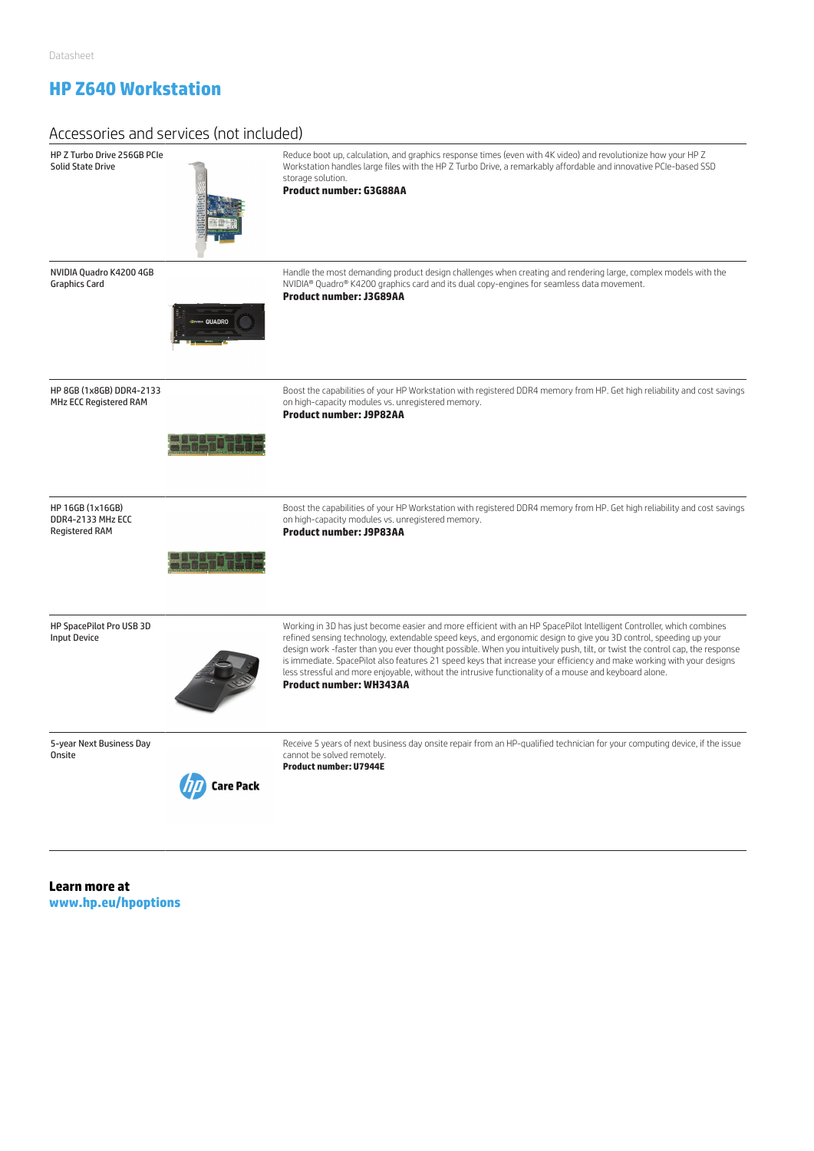## **HP Z640 Workstation**

| Accessories and services (not included)                        |                                                                                                                                                                                                                                                                                                                                                                                                                                                                                                                                                                                                                                             |
|----------------------------------------------------------------|---------------------------------------------------------------------------------------------------------------------------------------------------------------------------------------------------------------------------------------------------------------------------------------------------------------------------------------------------------------------------------------------------------------------------------------------------------------------------------------------------------------------------------------------------------------------------------------------------------------------------------------------|
| HP Z Turbo Drive 256GB PCIe<br><b>Solid State Drive</b>        | Reduce boot up, calculation, and graphics response times (even with 4K video) and revolutionize how your HP Z<br>Workstation handles large files with the HP Z Turbo Drive, a remarkably affordable and innovative PCIe-based SSD<br>storage solution.<br><b>Product number: G3G88AA</b>                                                                                                                                                                                                                                                                                                                                                    |
| NVIDIA Quadro K4200 4GB<br><b>Graphics Card</b>                | Handle the most demanding product design challenges when creating and rendering large, complex models with the<br>NVIDIA® Quadro® K4200 graphics card and its dual copy-engines for seamless data movement.<br><b>Product number: J3G89AA</b>                                                                                                                                                                                                                                                                                                                                                                                               |
| HP 8GB (1x8GB) DDR4-2133<br>MHz ECC Registered RAM             | Boost the capabilities of your HP Workstation with registered DDR4 memory from HP. Get high reliability and cost savings<br>on high-capacity modules vs. unregistered memory.<br><b>Product number: J9P82AA</b>                                                                                                                                                                                                                                                                                                                                                                                                                             |
| HP 16GB (1x16GB)<br>DDR4-2133 MHz ECC<br><b>Registered RAM</b> | Boost the capabilities of your HP Workstation with registered DDR4 memory from HP. Get high reliability and cost savings<br>on high-capacity modules vs. unregistered memory.<br><b>Product number: J9P83AA</b>                                                                                                                                                                                                                                                                                                                                                                                                                             |
| HP SpacePilot Pro USB 3D<br><b>Input Device</b>                | Working in 3D has just become easier and more efficient with an HP SpacePilot Intelligent Controller, which combines<br>refined sensing technology, extendable speed keys, and ergonomic design to give you 3D control, speeding up your<br>design work -faster than you ever thought possible. When you intuitively push, tilt, or twist the control cap, the response<br>is immediate. SpacePilot also features 21 speed keys that increase your efficiency and make working with your designs<br>less stressful and more enjoyable, without the intrusive functionality of a mouse and keyboard alone.<br><b>Product number: WH343AA</b> |
| 5-year Next Business Day<br>Onsite                             | Receive 5 years of next business day onsite repair from an HP-qualified technician for your computing device, if the issue<br>cannot be solved remotely.<br><b>Product number: U7944E</b><br>Care Pack                                                                                                                                                                                                                                                                                                                                                                                                                                      |

**Learn more at www.hp.eu/hpoptions**